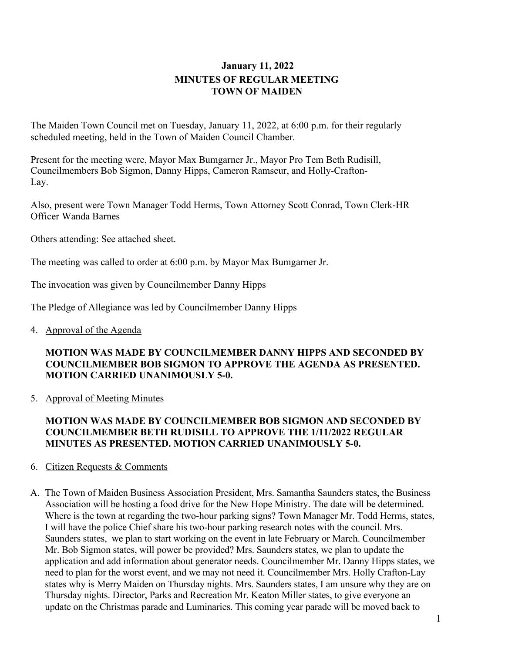# **January 11, 2022 MINUTES OF REGULAR MEETING TOWN OF MAIDEN**

The Maiden Town Council met on Tuesday, January 11, 2022, at 6:00 p.m. for their regularly scheduled meeting, held in the Town of Maiden Council Chamber.

Present for the meeting were, Mayor Max Bumgarner Jr., Mayor Pro Tem Beth Rudisill, Councilmembers Bob Sigmon, Danny Hipps, Cameron Ramseur, and Holly-Crafton-Lay.

Also, present were Town Manager Todd Herms, Town Attorney Scott Conrad, Town Clerk-HR Officer Wanda Barnes

Others attending: See attached sheet.

The meeting was called to order at 6:00 p.m. by Mayor Max Bumgarner Jr.

The invocation was given by Councilmember Danny Hipps

The Pledge of Allegiance was led by Councilmember Danny Hipps

4. Approval of the Agenda

#### **MOTION WAS MADE BY COUNCILMEMBER DANNY HIPPS AND SECONDED BY COUNCILMEMBER BOB SIGMON TO APPROVE THE AGENDA AS PRESENTED. MOTION CARRIED UNANIMOUSLY 5-0.**

5. Approval of Meeting Minutes

## **MOTION WAS MADE BY COUNCILMEMBER BOB SIGMON AND SECONDED BY COUNCILMEMBER BETH RUDISILL TO APPROVE THE 1/11/2022 REGULAR MINUTES AS PRESENTED. MOTION CARRIED UNANIMOUSLY 5-0.**

## 6. Citizen Requests & Comments

A. The Town of Maiden Business Association President, Mrs. Samantha Saunders states, the Business Association will be hosting a food drive for the New Hope Ministry. The date will be determined. Where is the town at regarding the two-hour parking signs? Town Manager Mr. Todd Herms, states, I will have the police Chief share his two-hour parking research notes with the council. Mrs. Saunders states, we plan to start working on the event in late February or March. Councilmember Mr. Bob Sigmon states, will power be provided? Mrs. Saunders states, we plan to update the application and add information about generator needs. Councilmember Mr. Danny Hipps states, we need to plan for the worst event, and we may not need it. Councilmember Mrs. Holly Crafton-Lay states why is Merry Maiden on Thursday nights. Mrs. Saunders states, I am unsure why they are on Thursday nights. Director, Parks and Recreation Mr. Keaton Miller states, to give everyone an update on the Christmas parade and Luminaries. This coming year parade will be moved back to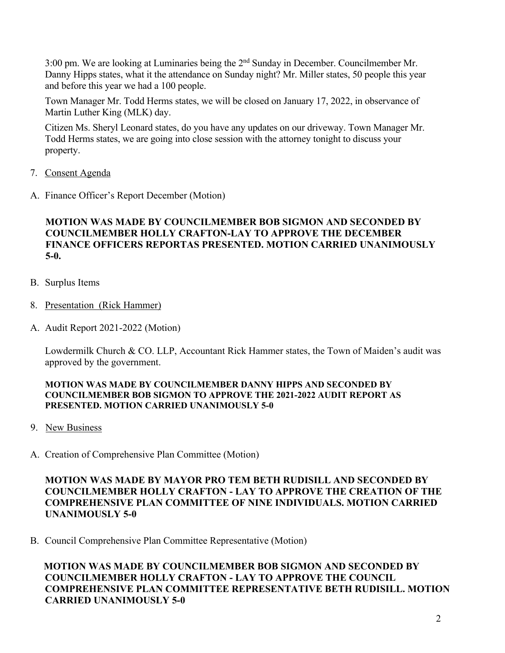3:00 pm. We are looking at Luminaries being the 2nd Sunday in December. Councilmember Mr. Danny Hipps states, what it the attendance on Sunday night? Mr. Miller states, 50 people this year and before this year we had a 100 people.

Town Manager Mr. Todd Herms states, we will be closed on January 17, 2022, in observance of Martin Luther King (MLK) day.

Citizen Ms. Sheryl Leonard states, do you have any updates on our driveway. Town Manager Mr. Todd Herms states, we are going into close session with the attorney tonight to discuss your property.

- 7. Consent Agenda
- A. Finance Officer's Report December (Motion)

## **MOTION WAS MADE BY COUNCILMEMBER BOB SIGMON AND SECONDED BY COUNCILMEMBER HOLLY CRAFTON-LAY TO APPROVE THE DECEMBER FINANCE OFFICERS REPORTAS PRESENTED. MOTION CARRIED UNANIMOUSLY 5-0.**

- B. Surplus Items
- 8. Presentation (Rick Hammer)
- A. Audit Report 2021-2022 (Motion)

Lowdermilk Church & CO. LLP, Accountant Rick Hammer states, the Town of Maiden's audit was approved by the government.

#### **MOTION WAS MADE BY COUNCILMEMBER DANNY HIPPS AND SECONDED BY COUNCILMEMBER BOB SIGMON TO APPROVE THE 2021-2022 AUDIT REPORT AS PRESENTED. MOTION CARRIED UNANIMOUSLY 5-0**

- 9. New Business
- A. Creation of Comprehensive Plan Committee (Motion)

**MOTION WAS MADE BY MAYOR PRO TEM BETH RUDISILL AND SECONDED BY COUNCILMEMBER HOLLY CRAFTON - LAY TO APPROVE THE CREATION OF THE COMPREHENSIVE PLAN COMMITTEE OF NINE INDIVIDUALS. MOTION CARRIED UNANIMOUSLY 5-0**

B. Council Comprehensive Plan Committee Representative (Motion)

**MOTION WAS MADE BY COUNCILMEMBER BOB SIGMON AND SECONDED BY COUNCILMEMBER HOLLY CRAFTON - LAY TO APPROVE THE COUNCIL COMPREHENSIVE PLAN COMMITTEE REPRESENTATIVE BETH RUDISILL. MOTION CARRIED UNANIMOUSLY 5-0**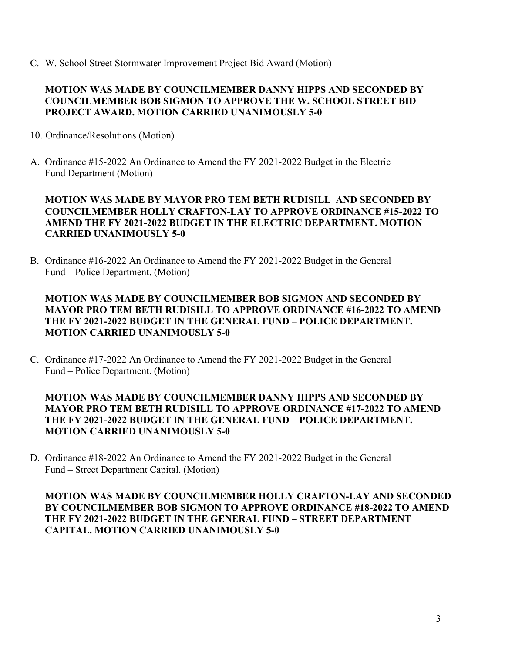C. W. School Street Stormwater Improvement Project Bid Award (Motion)

## **MOTION WAS MADE BY COUNCILMEMBER DANNY HIPPS AND SECONDED BY COUNCILMEMBER BOB SIGMON TO APPROVE THE W. SCHOOL STREET BID PROJECT AWARD. MOTION CARRIED UNANIMOUSLY 5-0**

- 10. Ordinance/Resolutions (Motion)
- A. Ordinance #15-2022 An Ordinance to Amend the FY 2021-2022 Budget in the Electric Fund Department (Motion)

## **MOTION WAS MADE BY MAYOR PRO TEM BETH RUDISILL AND SECONDED BY COUNCILMEMBER HOLLY CRAFTON-LAY TO APPROVE ORDINANCE #15-2022 TO AMEND THE FY 2021-2022 BUDGET IN THE ELECTRIC DEPARTMENT. MOTION CARRIED UNANIMOUSLY 5-0**

B. Ordinance #16-2022 An Ordinance to Amend the FY 2021-2022 Budget in the General Fund – Police Department. (Motion)

## **MOTION WAS MADE BY COUNCILMEMBER BOB SIGMON AND SECONDED BY MAYOR PRO TEM BETH RUDISILL TO APPROVE ORDINANCE #16-2022 TO AMEND THE FY 2021-2022 BUDGET IN THE GENERAL FUND – POLICE DEPARTMENT. MOTION CARRIED UNANIMOUSLY 5-0**

C. Ordinance #17-2022 An Ordinance to Amend the FY 2021-2022 Budget in the General Fund – Police Department. (Motion)

## **MOTION WAS MADE BY COUNCILMEMBER DANNY HIPPS AND SECONDED BY MAYOR PRO TEM BETH RUDISILL TO APPROVE ORDINANCE #17-2022 TO AMEND THE FY 2021-2022 BUDGET IN THE GENERAL FUND – POLICE DEPARTMENT. MOTION CARRIED UNANIMOUSLY 5-0**

D. Ordinance #18-2022 An Ordinance to Amend the FY 2021-2022 Budget in the General Fund – Street Department Capital. (Motion)

**MOTION WAS MADE BY COUNCILMEMBER HOLLY CRAFTON-LAY AND SECONDED BY COUNCILMEMBER BOB SIGMON TO APPROVE ORDINANCE #18-2022 TO AMEND THE FY 2021-2022 BUDGET IN THE GENERAL FUND – STREET DEPARTMENT CAPITAL. MOTION CARRIED UNANIMOUSLY 5-0**